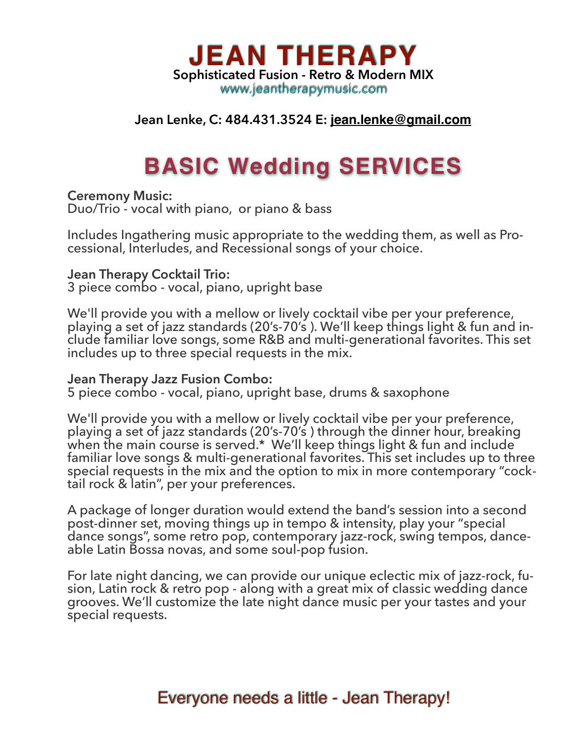

## **Jean Lenke, C: 484.431.3524 E: [jean.lenke@gmail.com](mailto:jean.lenke@gmail.com)**

# **BASIC Wedding SERVICES**

**Ceremony Music:** 

Duo/Trio - vocal with piano, or piano & bass

Includes Ingathering music appropriate to the wedding them, as well as Pro- cessional, Interludes, and Recessional songs of your choice.

#### **Jean Therapy Cocktail Trio:**

3 piece combo - vocal, piano, upright base

We'll provide you with a mellow or lively cocktail vibe per your preference, playing a set of jazz standards (20's-70's ). We'll keep things light & fun and include familiar love songs, some R&B and multi-generational favorites. This set includes up to three special requests in the mix.

#### **Jean Therapy Jazz Fusion Combo:**

5 piece combo - vocal, piano, upright base, drums & saxophone

We'll provide you with a mellow or lively cocktail vibe per your preference, playing a set of jazz standards (20's-70's ) through the dinner hour, breaking when the main course is served.\* We'll keep things light & fun and include familiar love songs & multi-generational favorites. This set includes up to three special requests in the mix and the option to mix in more contemporary "cocktail rock & latin", per your preferences.

A package of longer duration would extend the band's session into a second post-dinner set, moving things up in tempo & intensity, play your "special dance songs", some retro pop, contemporary jazz-rock, swing tempos, dance- able Latin Bossa novas, and some soul-pop fusion.

For late night dancing, we can provide our unique eclectic mix of jazz-rock, fu-<br>sion, Latin rock & retro pop - along with a great mix of classic wedding dance grooves. We'll customize the late night dance music per your tastes and your special requests.